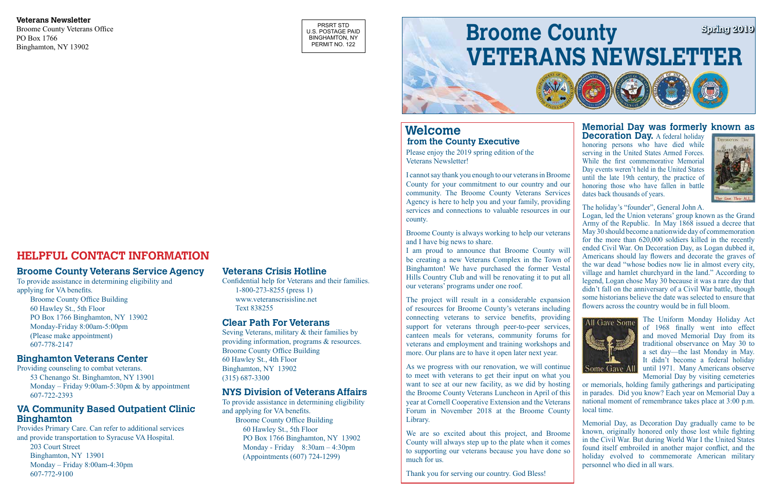# **Broome County**

#### **Veterans Newsletter**

Broome County Veterans Office PO Box 1766 Binghamton, NY 13902

#### **Veterans Crisis Hotline**

Confidential help for Veterans and their families. 1-800-273-8255 (press 1) www.veteranscrisisline.net Text 838255

#### **Clear Path For Veterans**

PRSRT STD U.S. POSTAGE PAID BINGHAMTON, NY PERMIT NO. 122

Seving Veterans, military & their families by providing information, programs & resources. Broome County Office Building 60 Hawley St., 4th Floor Binghamton, NY 13902 (315) 687-3300



#### **NYS Division of Veterans Affairs**

To provide assistance in determining eligibility and applying for VA benefits. Broome County Office Building 60 Hawley St., 5th Floor PO Box 1766 Binghamton, NY 13902 Monday - Friday 8:30am – 4:30pm (Appointments (607) 724-1299)

#### **Memorial Day was formerly known as Decoration Day.** A federal holiday honoring persons who have died while serving in the United States Armed Forces. While the first commemorative Memorial Day events weren't held in the United States until the late 19th century, the practice of honoring those who have fallen in battle dates back thousands of years.



The holiday's "founder", General John A.

Logan, led the Union veterans' group known as the Grand Army of the Republic. In May 1868 issued a decree that May 30 should become a nationwide day of commemoration for the more than 620,000 soldiers killed in the recently ended Civil War. On Decoration Day, as Logan dubbed it, Americans should lay flowers and decorate the graves of the war dead "whose bodies now lie in almost every city, village and hamlet churchyard in the land." According to legend, Logan chose May 30 because it was a rare day that didn't fall on the anniversary of a Civil War battle, though some historians believe the date was selected to ensure that flowers across the country would be in full bloom.



Vertex 2000 and 2000 and 2000 and 2000 and 2000 and 2000 and 2000 and 2000 and 2000 and 2000 and 2000 and 2000 Provides Primary Care. Can refer to additional services and provide transportation to Syracuse VA Hospital. 203 Court Street Binghamton, NY 13901 Monday – Friday 8:00am-4:30pm 607-772-9100

The Uniform Monday Holiday Act of 1968 finally went into effect and moved Memorial Day from its traditional observance on May 30 to a set day—the last Monday in May. It didn't become a federal holiday until 1971. Many Americans observe Memorial Day by visiting cemeteries

or memorials, holding family gatherings and participating in parades. Did you know? Each year on Memorial Day a national moment of remembrance takes place at 3:00 p.m. local time.

Memorial Day, as Decoration Day gradually came to be known, originally honored only those lost while fighting in the Civil War. But during World War I the United States found itself embroiled in another major conflict, and the holiday evolved to commemorate American military personnel who died in all wars.

# **HELPFUL CONTACT INFORMATION**

#### **Broome County Veterans Service Agency**

To provide assistance in determining eligibility and applying for VA benefits. Broome County Office Building 60 Hawley St., 5th Floor PO Box 1766 Binghamton, NY 13902 Monday-Friday 8:00am-5:00pm (Please make appointment)

607-778-2147

#### **Binghamton Veterans Center**

Providing counseling to combat veterans. 53 Chenango St. Binghamton, NY 13901 Monday – Friday 9:00am-5:30pm & by appointment 607-722-2393

#### **VA Community Based Outpatient Clinic Binghamton**

Please enjoy the 2019 spring edition of the Veterans Newsletter!

I cannot say thank you enough to our veterans in Broome County for your commitment to our country and our community. The Broome County Veterans Services Agency is here to help you and your family, providing services and connections to valuable resources in our county.

Broome County is always working to help our veterans and I have big news to share.

I am proud to announce that Broome County will be creating a new Veterans Complex in the Town of Binghamton! We have purchased the former Vestal Hills Country Club and will be renovating it to put all our veterans' programs under one roof.

The project will result in a considerable expansion of resources for Broome County's veterans including connecting veterans to service benefits, providing support for veterans through peer-to-peer services, canteen meals for veterans, community forums for veterans and employment and training workshops and more. Our plans are to have it open later next year.

As we progress with our renovation, we will continue to meet with veterans to get their input on what you want to see at our new facility, as we did by hosting the Broome County Veterans Luncheon in April of this year at Cornell Cooperative Extension and the Veterans Forum in November 2018 at the Broome County Library.

We are so excited about this project, and Broome County will always step up to the plate when it comes to supporting our veterans because you have done so much for us.

Thank you for serving our country. God Bless!

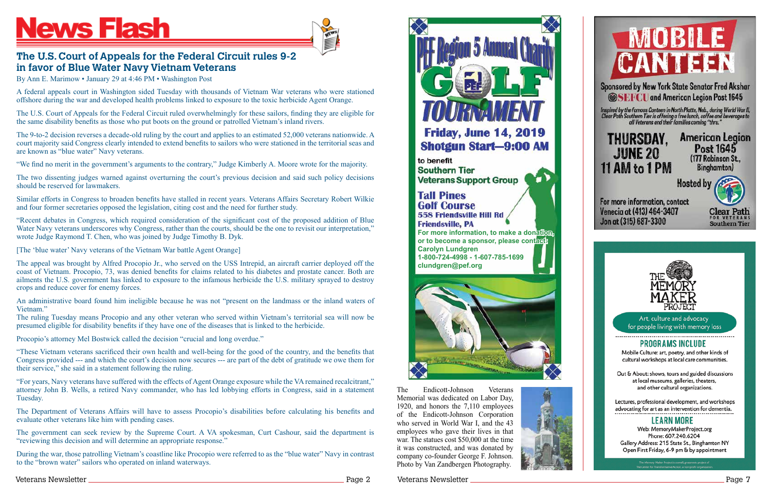

# **News Flash**



#### **The U.S. Court of Appeals for the Federal Circuit rules 9-2 in favor of Blue Water Navy Vietnam Veterans**

By Ann E. Marimow • January 29 at 4:46 PM • Washington Post

A federal appeals court in Washington sided Tuesday with thousands of Vietnam War veterans who were stationed offshore during the war and developed health problems linked to exposure to the toxic herbicide Agent Orange.

The U.S. Court of Appeals for the Federal Circuit ruled overwhelmingly for these sailors, finding they are eligible for the same disability benefits as those who put boots on the ground or patrolled Vietnam's inland rivers.

The 9-to-2 decision reverses a decade-old ruling by the court and applies to an estimated 52,000 veterans nationwide. A court majority said Congress clearly intended to extend benefits to sailors who were stationed in the territorial seas and are known as "blue water" Navy veterans.

"We find no merit in the government's arguments to the contrary," Judge Kimberly A. Moore wrote for the majority.

The two dissenting judges warned against overturning the court's previous decision and said such policy decisions should be reserved for lawmakers.

Similar efforts in Congress to broaden benefits have stalled in recent years. Veterans Affairs Secretary Robert Wilkie and four former secretaries opposed the legislation, citing cost and the need for further study .

"Recent debates in Congress, which required consideration of the significant cost of the proposed addition of Blue Water Navy veterans underscores why Congress, rather than the courts, should be the one to revisit our interpretation," wrote Judge Raymond T. Chen, who was joined by Judge Timothy B. Dyk.

[The 'blue water' Navy veterans of the Vietnam War battle Agent Orange]

**Tall Pines Golf Course 558 Friendsville Hill Rd Friendsville, PA For more information, to make a donation, or to become a sponsor, please contact: Carolyn Lundgren** 

**Friday, June 14, 2019** 

**Shotgun Start-9:00 AM** 

to benefit

**Southern Tier** 

The appeal was brought by Alfred Procopio Jr., who served on the USS Intrepid, an aircraft carrier deployed off the coast of Vietnam. Procopio, 73, was denied benefits for claims related to his diabetes and prostate cancer. Both are ailments the U.S. government has linked to exposure to the infamous herbicide the U.S. military sprayed to destroy crops and reduce cover for enemy forces.

An administrative board found him ineligible because he was not "present on the landmass or the inland waters of Vietnam."

The ruling Tuesday means Procopio and any other veteran who served within Vietnam's territorial sea will now be presumed eligible for disability benefits if they have one of the diseases that is linked to the herbicide.

Procopio's attorney Mel Bostwick called the decision "crucial and long overdue."

"These Vietnam veterans sacrificed their own health and well-being for the good of the country, and the benefits that Congress provided --- and which the court's decision now secures --- are part of the debt of gratitude we owe them for their service," she said in a statement following the ruling.

"For years, Navy veterans have suffered with the effects of Agent Orange exposure while the VA remained recalcitrant," attorney John B. Wells, a retired Navy commander, who has led lobbying efforts in Congress, said in a statement Tuesday.

The Department of Veterans Affairs will have to assess Procopio's disabilities before calculating his benefits and evaluate other veterans like him with pending cases.

The government can seek review by the Supreme Court. A VA spokesman, Curt Cashour, said the department is "reviewing this decision and will determine an appropriate response."

During the war, those patrolling Vietnam's coastline like Procopio were referred to as the "blue water" Navy in contrast to the "brown water" sailors who operated on inland waterways.

Veterans Newsletter <u>entitled and the second of the second version</u> and veterans Newsletter Page 2 Veterans Newsletter Page 2

**1-800-724-4998 - 1-607-785-1699 clundgren@pef.org**

**Veterans Support Group** 







Art, culture and advocacy for people living with memory loss

#### **PROGRAMS INCLUDE**

Mobile Culture: art, poetry, and other kinds of cultural workshops at local care communities.

Out & About: shows, tours and guided discussions at local museums, galleries, theaters, and other cultural organizations.

Lectures, professional development, and workshops advocating for art as an intervention for dementia.

#### **LEARN MORE**

Web: MemoryMakerProject.org Phone: 607.240.6204 Gallery Address: 215 State St., Binghamton NY Open First Friday, 6-9 pm & by appointment

The Memory Maker Project is a small, grassroots project of



Photo by Van Zandbergen Photography.

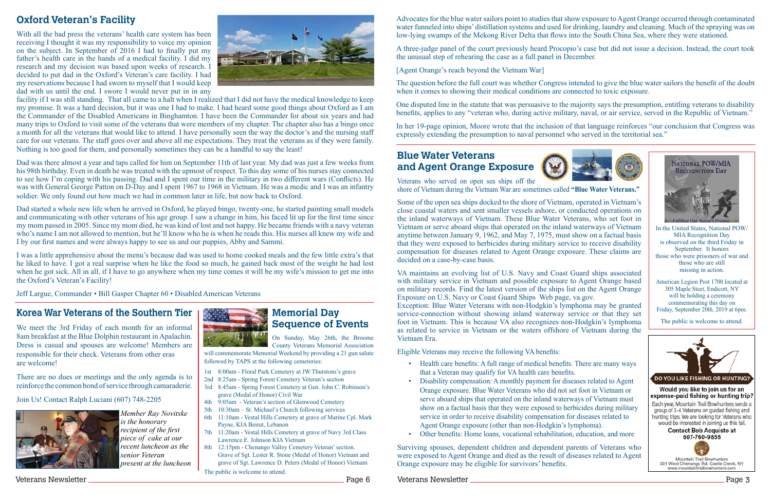Veterans Newsletter Page 6 Veterans Newsletter Page 3



Advocates for the blue water sailors point to studies that show exposure to Agent Orange occurred through contaminated water funneled into ships' distillation systems and used for drinking, laundry and cleaning. Much of the spraying was on low-lying swamps of the Mekong River Delta that flows into the South China Sea, where they were stationed.

A three-judge panel of the court previously heard Procopio's case but did not issue a decision. Instead, the court took the unusual step of rehearing the case as a full panel in December.

[Agent Orange's reach beyond the Vietnam War]

The question before the full court was whether Congress intended to give the blue water sailors the benefit of the doubt when it comes to showing their medical conditions are connected to toxic exposure.

One disputed line in the statute that was persuasive to the majority says the presumption, entitling veterans to disability benefits, applies to any "veteran who, during active military, naval, or air service, served in the Republic of Vietnam."

In her 19-page opinion, Moore wrote that the inclusion of that language reinforces "our conclusion that Congress was expressly extending the presumption to naval personnel who served in the territorial sea."

## **Oxford Veteran's Facility**

With all the bad press the veterans' health care system has been receiving I thought it was my responsibility to voice my opinion on the subject. In September of 2016 I had to finally put my father's health care in the hands of a medical facility. I did my research and my decision was based upon weeks of research. I decided to put dad in the Oxford's Veteran's care facility. I had my reservations because I had sworn to myself that I would keep dad with us until the end. I swore I would never put in in any



facility if I was still standing. That all came to a halt when I realized that I did not have the medical knowledge to keep my promise. It was a hard decision, but it was one I had to make. I had heard some good things about Oxford as I am the Commander of the Disabled Americans in Binghamton. I have been the Commander for about six years and had many trips to Oxford to visit some of the veterans that were members of my chapter. The chapter also has a bingo once a month for all the veterans that would like to attend. I have personally seen the way the doctor's and the nursing staff care for our veterans. The staff goes over and above all me expectations. They treat the veterans as if they were family. Nothing is too good for them, and personally sometimes they can be a handful to say the least!

Dad was there almost a year and taps called for him on September 11th of last year. My dad was just a few weeks from his 98th birthday. Even in death he was treated with the upmost of respect. To this day some of his nurses stay connected to see how I'm coping with his passing. Dad and I spent our time in the military in two different wars (Conflicts). He was with General George Patton on D-Day and I spent 1967 to 1968 in Vietnam. He was a medic and I was an infantry soldier. We only found out how much we had in common later in life, but now back to Oxford.

Dad started a whole new life when he arrived in Oxford, he played bingo, twenty-one, he started painting small models and communicating with other veterans of his age group. I saw a change in him, his faced lit up for the first time since my mom passed in 2005. Since my mom died, he was kind of lost and not happy. He became friends with a navy veteran who's name I am not allowed to mention, but he'll know who he is when he reads this. His nurses all knew my wife and I by our first names and were always happy to see us and our puppies, Abby and Sammi.

I was a little apprehensive about the menu's because dad was used to home cooked meals and the few little extra's that he liked to have. I got a real surprise when he like the food so much, he gained back most of the weight he had lost when he got sick. All in all, if I have to go anywhere when my time comes it will be my wife's mission to get me into the Oxford's Veteran's Facility!

Jeff Largue, Commander • Bill Gasper Chapter 60 • Disabled American Veterans

#### **Blue Water Veterans and Agent Orange Exposure**



Veterans who served on open sea ships off the shore of Vietnam during the Vietnam War are sometimes called **"Blue Water Veterans."**

Some of the open sea ships docked to the shore of Vietnam, operated in Vietnam's close coastal waters and sent smaller vessels ashore, or conducted operations on the inland waterways of Vietnam. These Blue Water Veterans, who set foot in Vietnam or serve aboard ships that operated on the inland waterways of Vietnam anytime between January 9, 1962, and May 7, 1975, must show on a factual basis that they were exposed to herbicides during military service to receive disability compensation for diseases related to Agent Orange exposure. These claims are decided on a case-by-case basis.

VA maintains an evolving list of U.S. Navy and Coast Guard ships associated with military service in Vietnam and possible exposure to Agent Orange based on military records. Find the latest version of the ships list on the Agent Orange Exposure on U.S. Navy or Coast Guard Ships Web page, va.gov. Exception: Blue Water Veterans with non-Hodgkin's lymphoma may be granted service-connection without showing inland waterway service or that they set foot in Vietnam. This is because VA also recognizes non-Hodgkin's lymphoma as related to service in Vietnam or the waters offshore of Vietnam during the Vietnam Era.

Eligible Veterans may receive the following VA benefits:

- Health care benefits: A full range of medical benefits. There are many ways that a Veteran may qualify for VA health care benefits.
- Disability compensation: A monthly payment for diseases related to Agent Orange exposure. Blue Water Veterans who did not set foot in Vietnam or serve aboard ships that operated on the inland waterways of Vietnam must show on a factual basis that they were exposed to herbicides during military service in order to receive disability compensation for diseases related to Agent Orange exposure (other than non-Hodgkin's lymphoma).
- Other benefits: Home loans, vocational rehabilitation, education, and more

Surviving spouses, dependent children and dependent parents of Veterans who were exposed to Agent Orange and died as the result of diseases related to Agent Orange exposure may be eligible for survivors' benefits.

#### **Korea War Veterans of the Southern Tier**

We meet the 3rd Friday of each month for an informal 8am breakfast at the Blue Dolphin restaurant in Apalachin. Dress is casual and spouses are welcome! Members are responsible for their check. Veterans from other eras are welcome!

There are no dues or meetings and the only agenda is to reinforce the common bond of service through camaraderie.

Join Us! Contact Ralph Luciani (607) 748-2205



### **Memorial Day Sequence of Events**

On Sunday, May 26th, the Broome County Veterans Memorial Association

will commemorate Memorial Weekend by providing a 21 gun salute followed by TAPS at the following cemeteries:

- 1st 8:00am Floral Park Cemetery at JW Thurstons's grave
- 2nd 8:25am Spring Forest Cemetery Veteran's section
- 3rd 8:45am Spring Forest Cemetery at Gen. John C. Robinson's grave (Medal of Honor) Civil War
- 4th 9:05am Veteran's section of Glenwood Cemetery
- 5th 10:30am St. Michael's Church following services
- 6th 11:10am Vestal Hills Cemetery at grave of Marine Cpl. Mark Payne, KIA Beirut, Lebanon
- 7th 11:20am Vestal Hills Cemetery at grave of Navy 3rd Class Lawrence E. Johnson KIA Vietnam
- 8th 12:15pm Chenango Valley Cemetery Veteran' section. Grave of Sgt. Lester R. Stone (Medal of Honor) Vietnam and grave of Sgt. Lawrence D. Peters (Medal of Honor) Vietnam

The public is welcome to attend.

*Member Ray Novitske is the honorary recipient of the first piece of cake at our recent luncheon as the senior Veteran present at the luncheon*





In the United States, National POW/ MIA Recognition Day is observed on the third Friday in September. It honors those who were prisoners of war and those who are still missing in action.

American Legion Post 1700 located at 305 Maple Steet, Endicott, NY will be holding a ceremony commemorating this day on Friday, September 20th, 2019 at 6pm.

The public is welcome to attend.